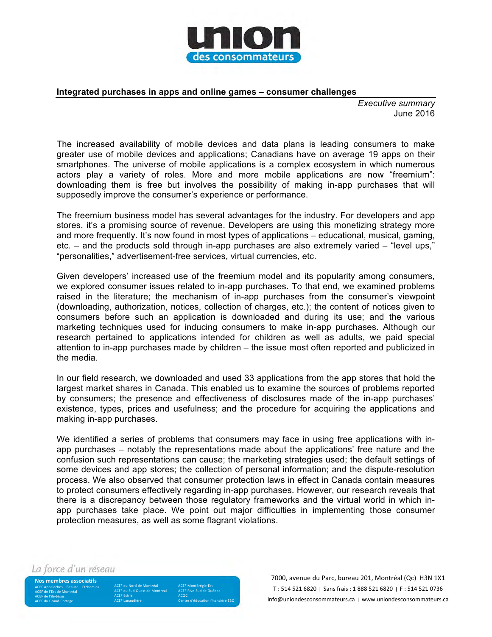

## **Integrated purchases in apps and online games – consumer challenges**

*Executive summary* June 2016

The increased availability of mobile devices and data plans is leading consumers to make greater use of mobile devices and applications; Canadians have on average 19 apps on their smartphones. The universe of mobile applications is a complex ecosystem in which numerous actors play a variety of roles. More and more mobile applications are now "freemium": downloading them is free but involves the possibility of making in-app purchases that will supposedly improve the consumer's experience or performance.

The freemium business model has several advantages for the industry. For developers and app stores, it's a promising source of revenue. Developers are using this monetizing strategy more and more frequently. It's now found in most types of applications – educational, musical, gaming, etc. – and the products sold through in-app purchases are also extremely varied – "level ups," "personalities," advertisement-free services, virtual currencies, etc.

Given developers' increased use of the freemium model and its popularity among consumers, we explored consumer issues related to in-app purchases. To that end, we examined problems raised in the literature; the mechanism of in-app purchases from the consumer's viewpoint (downloading, authorization, notices, collection of charges, etc.); the content of notices given to consumers before such an application is downloaded and during its use; and the various marketing techniques used for inducing consumers to make in-app purchases. Although our research pertained to applications intended for children as well as adults, we paid special attention to in-app purchases made by children – the issue most often reported and publicized in the media.

In our field research, we downloaded and used 33 applications from the app stores that hold the largest market shares in Canada. This enabled us to examine the sources of problems reported by consumers; the presence and effectiveness of disclosures made of the in-app purchases' existence, types, prices and usefulness; and the procedure for acquiring the applications and making in-app purchases.

We identified a series of problems that consumers may face in using free applications with inapp purchases – notably the representations made about the applications' free nature and the confusion such representations can cause; the marketing strategies used; the default settings of some devices and app stores; the collection of personal information; and the dispute-resolution process. We also observed that consumer protection laws in effect in Canada contain measures to protect consumers effectively regarding in-app purchases. However, our research reveals that there is a discrepancy between those regulatory frameworks and the virtual world in which inapp purchases take place. We point out major difficulties in implementing those consumer protection measures, as well as some flagrant violations.

La force d'un réseau

**Nos membres associatifs** ACEF Appalaches – Beauce – Etchemins<br>ACEF de l'Est de Montréal ACEF de l'île-Jésus **ACEF** du Grand-Portage

ACEF du Nord de Montréal ACEF du Sud-Ouest de Montréal **ACEF Estrie ACEF Lanaudière** 

ACEF Montérégie-Est ACEF Rive-Sud de Québec ACQC<br>Centre d'éducation financière EBO

7000, avenue du Parc, bureau 201, Montréal (Qc) H3N 1X1 T: 514 521 6820 | Sans frais: 1 888 521 6820 | F: 514 521 0736 info@uniondesconsommateurs.ca | www.uniondesconsommateurs.ca